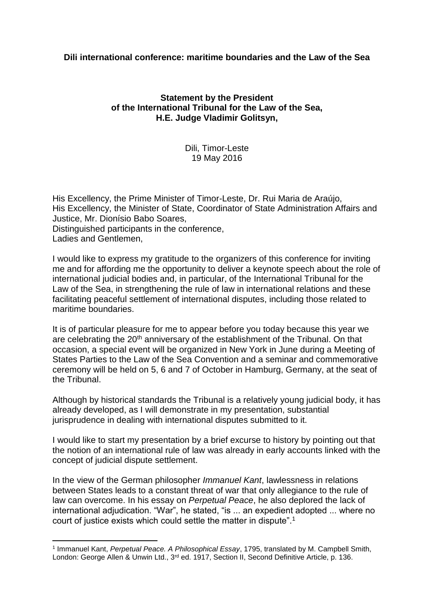# **Dili international conference: maritime boundaries and the Law of the Sea**

# **Statement by the President of the International Tribunal for the Law of the Sea, H.E. Judge Vladimir Golitsyn,**

## Dili, Timor-Leste 19 May 2016

His Excellency, the Prime Minister of Timor-Leste, Dr. Rui Maria de Araújo, His Excellency, the Minister of State, Coordinator of State Administration Affairs and Justice, Mr. Dionísio Babo Soares, Distinguished participants in the conference, Ladies and Gentlemen,

I would like to express my gratitude to the organizers of this conference for inviting me and for affording me the opportunity to deliver a keynote speech about the role of international judicial bodies and, in particular, of the International Tribunal for the Law of the Sea, in strengthening the rule of law in international relations and these facilitating peaceful settlement of international disputes, including those related to maritime boundaries.

It is of particular pleasure for me to appear before you today because this year we are celebrating the 20<sup>th</sup> anniversary of the establishment of the Tribunal. On that occasion, a special event will be organized in New York in June during a Meeting of States Parties to the Law of the Sea Convention and a seminar and commemorative ceremony will be held on 5, 6 and 7 of October in Hamburg, Germany, at the seat of the Tribunal.

Although by historical standards the Tribunal is a relatively young judicial body, it has already developed, as I will demonstrate in my presentation, substantial jurisprudence in dealing with international disputes submitted to it.

I would like to start my presentation by a brief excurse to history by pointing out that the notion of an international rule of law was already in early accounts linked with the concept of judicial dispute settlement.

In the view of the German philosopher *Immanuel Kant*, lawlessness in relations between States leads to a constant threat of war that only allegiance to the rule of law can overcome. In his essay on *Perpetual Peace*, he also deplored the lack of international adjudication. "War", he stated, "is ... an expedient adopted ... where no court of justice exists which could settle the matter in dispute".<sup>1</sup>

<sup>1</sup> Immanuel Kant, *Perpetual Peace. A Philosophical Essay*, 1795, translated by M. Campbell Smith, London: George Allen & Unwin Ltd., 3<sup>rd</sup> ed. 1917, Section II, Second Definitive Article, p. 136.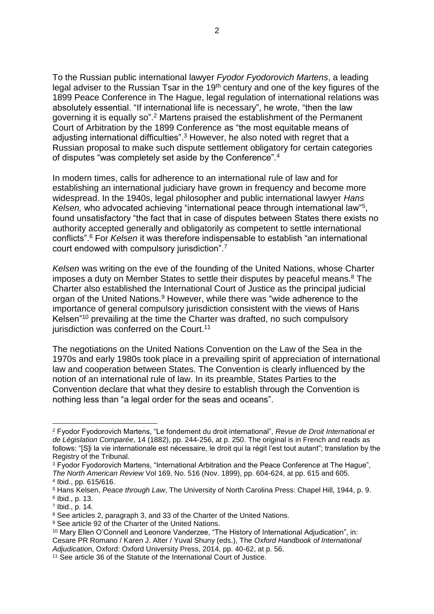To the Russian public international lawyer *Fyodor Fyodorovich Martens*, a leading legal adviser to the Russian Tsar in the 19<sup>th</sup> century and one of the key figures of the 1899 Peace Conference in The Hague, legal regulation of international relations was absolutely essential. "If international life is necessary", he wrote, "then the law governing it is equally so".<sup>2</sup> Martens praised the establishment of the Permanent Court of Arbitration by the 1899 Conference as "the most equitable means of adjusting international difficulties".<sup>3</sup> However, he also noted with regret that a Russian proposal to make such dispute settlement obligatory for certain categories of disputes "was completely set aside by the Conference".<sup>4</sup>

In modern times, calls for adherence to an international rule of law and for establishing an international judiciary have grown in frequency and become more widespread. In the 1940s, legal philosopher and public international lawyer *Hans*  Kelsen, who advocated achieving "international peace through international law"<sup>5</sup>, found unsatisfactory "the fact that in case of disputes between States there exists no authority accepted generally and obligatorily as competent to settle international conflicts".<sup>6</sup> For *Kelsen* it was therefore indispensable to establish "an international court endowed with compulsory jurisdiction".<sup>7</sup>

*Kelsen* was writing on the eve of the founding of the United Nations, whose Charter imposes a duty on Member States to settle their disputes by peaceful means.<sup>8</sup> The Charter also established the International Court of Justice as the principal judicial organ of the United Nations.<sup>9</sup> However, while there was "wide adherence to the importance of general compulsory jurisdiction consistent with the views of Hans Kelsen"<sup>10</sup> prevailing at the time the Charter was drafted, no such compulsory jurisdiction was conferred on the Court.<sup>11</sup>

The negotiations on the United Nations Convention on the Law of the Sea in the 1970s and early 1980s took place in a prevailing spirit of appreciation of international law and cooperation between States. The Convention is clearly influenced by the notion of an international rule of law. In its preamble, States Parties to the Convention declare that what they desire to establish through the Convention is nothing less than "a legal order for the seas and oceans".

<sup>2</sup> Fyodor Fyodorovich Martens, "Le fondement du droit international", *Revue de Droit International et de Législation Comparée*, 14 (1882), pp. 244-256, at p. 250. The original is in French and reads as follows: "[S]i la vie internationale est nécessaire, le droit qui la régit l'est tout autant"; translation by the Registry of the Tribunal.

<sup>&</sup>lt;sup>3</sup> Fyodor Fyodorovich Martens, "International Arbitration and the Peace Conference at The Haque". *The North American Review* Vol 169, No. 516 (Nov. 1899), pp. 604-624, at pp. 615 and 605.

<sup>4</sup> Ibid., pp. 615/616.

<sup>5</sup> Hans Kelsen, *Peace through Law*, The University of North Carolina Press: Chapel Hill, 1944, p. 9. 6 Ibid., p. 13.

<sup>7</sup> Ibid., p. 14.

<sup>&</sup>lt;sup>8</sup> See articles 2, paragraph 3, and 33 of the Charter of the United Nations.

<sup>&</sup>lt;sup>9</sup> See article 92 of the Charter of the United Nations.

<sup>10</sup> Mary Ellen O'Connell and Leonore Vanderzee, "The History of International Adjudication", in: Cesare PR Romano / Karen J. Alter / Yuval Shuny (eds.), The *Oxford Handbook of International Adjudicatio*n, Oxford: Oxford University Press, 2014, pp. 40-62, at p. 56.

<sup>&</sup>lt;sup>11</sup> See article 36 of the Statute of the International Court of Justice.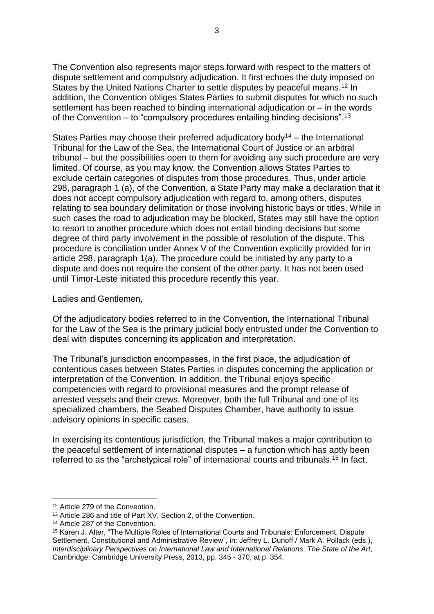The Convention also represents major steps forward with respect to the matters of dispute settlement and compulsory adjudication. It first echoes the duty imposed on States by the United Nations Charter to settle disputes by peaceful means.<sup>12</sup> In addition, the Convention obliges States Parties to submit disputes for which no such settlement has been reached to binding international adjudication or – in the words of the Convention  $-$  to "compulsory procedures entailing binding decisions".<sup>13</sup>

States Parties may choose their preferred adjudicatory body<sup>14</sup> – the International Tribunal for the Law of the Sea, the International Court of Justice or an arbitral tribunal – but the possibilities open to them for avoiding any such procedure are very limited. Of course, as you may know, the Convention allows States Parties to exclude certain categories of disputes from those procedures. Thus, under article 298, paragraph 1 (a), of the Convention, a State Party may make a declaration that it does not accept compulsory adjudication with regard to, among others, disputes relating to sea boundary delimitation or those involving historic bays or titles. While in such cases the road to adjudication may be blocked, States may still have the option to resort to another procedure which does not entail binding decisions but some degree of third party involvement in the possible of resolution of the dispute. This procedure is conciliation under Annex V of the Convention explicitly provided for in article 298, paragraph 1(a). The procedure could be initiated by any party to a dispute and does not require the consent of the other party. It has not been used until Timor-Leste initiated this procedure recently this year.

### Ladies and Gentlemen,

Of the adjudicatory bodies referred to in the Convention, the International Tribunal for the Law of the Sea is the primary judicial body entrusted under the Convention to deal with disputes concerning its application and interpretation.

The Tribunal's jurisdiction encompasses, in the first place, the adjudication of contentious cases between States Parties in disputes concerning the application or interpretation of the Convention. In addition, the Tribunal enjoys specific competencies with regard to provisional measures and the prompt release of arrested vessels and their crews. Moreover, both the full Tribunal and one of its specialized chambers, the Seabed Disputes Chamber, have authority to issue advisory opinions in specific cases.

In exercising its contentious jurisdiction, the Tribunal makes a major contribution to the peaceful settlement of international disputes – a function which has aptly been referred to as the "archetypical role" of international courts and tribunals.<sup>15</sup> In fact,

<sup>12</sup> Article 279 of the Convention.

<sup>13</sup> Article 286 and title of Part XV, Section 2, of the Convention.

<sup>14</sup> Article 287 of the Convention.

<sup>15</sup> Karen J. Alter, "The Multiple Roles of International Courts and Tribunals: Enforcement, Dispute Settlement, Constitutional and Administrative Review", in: Jeffrey L. Dunoff / Mark A. Pollack (eds.), *Interdisciplinary Perspectives on International Law and International Relations. The State of the Art*, Cambridge: Cambridge University Press, 2013, pp. 345 - 370, at p. 354.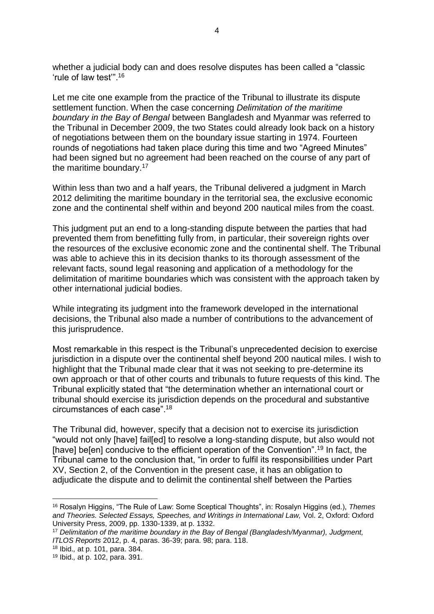whether a judicial body can and does resolve disputes has been called a "classic 'rule of law test'".<sup>16</sup>

Let me cite one example from the practice of the Tribunal to illustrate its dispute settlement function. When the case concerning *Delimitation of the maritime boundary in the Bay of Bengal* between Bangladesh and Myanmar was referred to the Tribunal in December 2009, the two States could already look back on a history of negotiations between them on the boundary issue starting in 1974. Fourteen rounds of negotiations had taken place during this time and two "Agreed Minutes" had been signed but no agreement had been reached on the course of any part of the maritime boundary.<sup>17</sup>

Within less than two and a half years, the Tribunal delivered a judgment in March 2012 delimiting the maritime boundary in the territorial sea, the exclusive economic zone and the continental shelf within and beyond 200 nautical miles from the coast.

This judgment put an end to a long-standing dispute between the parties that had prevented them from benefitting fully from, in particular, their sovereign rights over the resources of the exclusive economic zone and the continental shelf. The Tribunal was able to achieve this in its decision thanks to its thorough assessment of the relevant facts, sound legal reasoning and application of a methodology for the delimitation of maritime boundaries which was consistent with the approach taken by other international judicial bodies.

While integrating its judgment into the framework developed in the international decisions, the Tribunal also made a number of contributions to the advancement of this jurisprudence.

Most remarkable in this respect is the Tribunal's unprecedented decision to exercise jurisdiction in a dispute over the continental shelf beyond 200 nautical miles. I wish to highlight that the Tribunal made clear that it was not seeking to pre-determine its own approach or that of other courts and tribunals to future requests of this kind. The Tribunal explicitly stated that "the determination whether an international court or tribunal should exercise its jurisdiction depends on the procedural and substantive circumstances of each case".<sup>18</sup>

The Tribunal did, however, specify that a decision not to exercise its jurisdiction "would not only [have] fail[ed] to resolve a long-standing dispute, but also would not [have] be[en] conducive to the efficient operation of the Convention".<sup>19</sup> In fact, the Tribunal came to the conclusion that, "in order to fulfil its responsibilities under Part XV, Section 2, of the Convention in the present case, it has an obligation to adjudicate the dispute and to delimit the continental shelf between the Parties

<sup>16</sup> Rosalyn Higgins, "The Rule of Law: Some Sceptical Thoughts", in: Rosalyn Higgins (ed.), *Themes and Theories. Selected Essays, Speeches, and Writings in International Law,* Vol. 2, Oxford: Oxford University Press, 2009, pp. 1330-1339, at p. 1332.

<sup>17</sup> *Delimitation of the maritime boundary in the Bay of Bengal (Bangladesh/Myanmar), Judgment, ITLOS Reports* 2012, p. 4, paras. 36-39; para. 98; para. 118.

<sup>18</sup> Ibid.*,* at p. 101, para. 384.

<sup>19</sup> Ibid.*,* at p. 102, para. 391.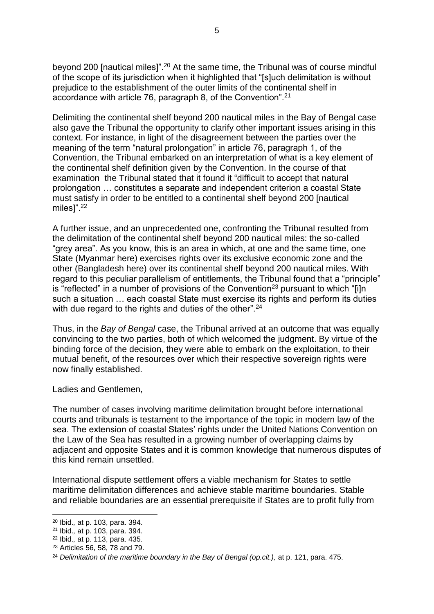beyond 200 [nautical miles]".<sup>20</sup> At the same time, the Tribunal was of course mindful of the scope of its jurisdiction when it highlighted that "[s]uch delimitation is without prejudice to the establishment of the outer limits of the continental shelf in accordance with article 76, paragraph 8, of the Convention".<sup>21</sup>

Delimiting the continental shelf beyond 200 nautical miles in the Bay of Bengal case also gave the Tribunal the opportunity to clarify other important issues arising in this context. For instance, in light of the disagreement between the parties over the meaning of the term "natural prolongation" in article 76, paragraph 1, of the Convention, the Tribunal embarked on an interpretation of what is a key element of the continental shelf definition given by the Convention. In the course of that examination the Tribunal stated that it found it "difficult to accept that natural prolongation … constitutes a separate and independent criterion a coastal State must satisfy in order to be entitled to a continental shelf beyond 200 [nautical miles]".<sup>22</sup>

A further issue, and an unprecedented one, confronting the Tribunal resulted from the delimitation of the continental shelf beyond 200 nautical miles: the so-called "grey area". As you know, this is an area in which, at one and the same time, one State (Myanmar here) exercises rights over its exclusive economic zone and the other (Bangladesh here) over its continental shelf beyond 200 nautical miles. With regard to this peculiar parallelism of entitlements, the Tribunal found that a "principle" is "reflected" in a number of provisions of the Convention<sup>23</sup> pursuant to which "[i]n such a situation … each coastal State must exercise its rights and perform its duties with due regard to the rights and duties of the other".<sup>24</sup>

Thus, in the *Bay of Bengal* case, the Tribunal arrived at an outcome that was equally convincing to the two parties, both of which welcomed the judgment. By virtue of the binding force of the decision, they were able to embark on the exploitation, to their mutual benefit, of the resources over which their respective sovereign rights were now finally established.

Ladies and Gentlemen,

The number of cases involving maritime delimitation brought before international courts and tribunals is testament to the importance of the topic in modern law of the sea. The extension of coastal States' rights under the United Nations Convention on the Law of the Sea has resulted in a growing number of overlapping claims by adjacent and opposite States and it is common knowledge that numerous disputes of this kind remain unsettled.

International dispute settlement offers a viable mechanism for States to settle maritime delimitation differences and achieve stable maritime boundaries. Stable and reliable boundaries are an essential prerequisite if States are to profit fully from

<sup>1</sup> <sup>20</sup> Ibid.*,* at p. 103, para. 394.

<sup>21</sup> Ibid.*,* at p. 103, para. 394.

<sup>22</sup> Ibid.*,* at p. 113, para. 435.

<sup>23</sup> Articles 56, 58, 78 and 79.

<sup>&</sup>lt;sup>24</sup> Delimitation of the maritime boundary in the Bay of Bengal (op.cit.), at p. 121, para. 475.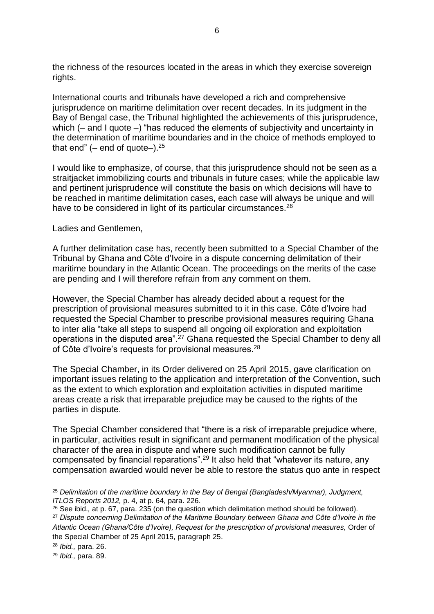the richness of the resources located in the areas in which they exercise sovereign rights.

International courts and tribunals have developed a rich and comprehensive jurisprudence on maritime delimitation over recent decades. In its judgment in the Bay of Bengal case, the Tribunal highlighted the achievements of this jurisprudence, which (– and I quote –) "has reduced the elements of subjectivity and uncertainty in the determination of maritime boundaries and in the choice of methods employed to that end"  $(-$  end of quote- $).^{25}$ 

I would like to emphasize, of course, that this jurisprudence should not be seen as a straitjacket immobilizing courts and tribunals in future cases; while the applicable law and pertinent jurisprudence will constitute the basis on which decisions will have to be reached in maritime delimitation cases, each case will always be unique and will have to be considered in light of its particular circumstances.<sup>26</sup>

### Ladies and Gentlemen,

A further delimitation case has, recently been submitted to a Special Chamber of the Tribunal by Ghana and Côte d'Ivoire in a dispute concerning delimitation of their maritime boundary in the Atlantic Ocean. The proceedings on the merits of the case are pending and I will therefore refrain from any comment on them.

However, the Special Chamber has already decided about a request for the prescription of provisional measures submitted to it in this case. Côte d'Ivoire had requested the Special Chamber to prescribe provisional measures requiring Ghana to inter alia "take all steps to suspend all ongoing oil exploration and exploitation operations in the disputed area".<sup>27</sup> Ghana requested the Special Chamber to deny all of Côte d'Ivoire's requests for provisional measures.<sup>28</sup>

The Special Chamber, in its Order delivered on 25 April 2015, gave clarification on important issues relating to the application and interpretation of the Convention, such as the extent to which exploration and exploitation activities in disputed maritime areas create a risk that irreparable prejudice may be caused to the rights of the parties in dispute.

The Special Chamber considered that "there is a risk of irreparable prejudice where, in particular, activities result in significant and permanent modification of the physical character of the area in dispute and where such modification cannot be fully compensated by financial reparations". <sup>29</sup> It also held that "whatever its nature, any compensation awarded would never be able to restore the status quo ante in respect

**<sup>.</sup>** <sup>25</sup> *Delimitation of the maritime boundary in the Bay of Bengal (Bangladesh/Myanmar), Judgment, ITLOS Reports 2012,* p. 4, at p. 64, para. 226.

<sup>26</sup> See ibid.*,* at p. 67, para. 235 (on the question which delimitation method should be followed).

<sup>27</sup> *Dispute concerning Delimitation of the Maritime Boundary between Ghana and Côte d'Ivoire in the*  Atlantic Ocean (Ghana/Côte d'Ivoire), Request for the prescription of provisional measures, Order of the Special Chamber of 25 April 2015, paragraph 25.

<sup>28</sup> *Ibid.,* para. 26.

<sup>29</sup> *Ibid.,* para. 89.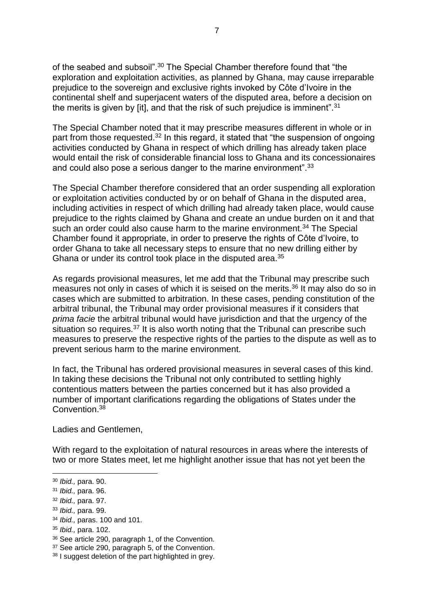of the seabed and subsoil".<sup>30</sup> The Special Chamber therefore found that "the exploration and exploitation activities, as planned by Ghana, may cause irreparable prejudice to the sovereign and exclusive rights invoked by Côte d'Ivoire in the continental shelf and superjacent waters of the disputed area, before a decision on the merits is given by [it], and that the risk of such prejudice is imminent".<sup>31</sup>

The Special Chamber noted that it may prescribe measures different in whole or in part from those requested.<sup>32</sup> In this regard, it stated that "the suspension of ongoing activities conducted by Ghana in respect of which drilling has already taken place would entail the risk of considerable financial loss to Ghana and its concessionaires and could also pose a serious danger to the marine environment".<sup>33</sup>

The Special Chamber therefore considered that an order suspending all exploration or exploitation activities conducted by or on behalf of Ghana in the disputed area, including activities in respect of which drilling had already taken place, would cause prejudice to the rights claimed by Ghana and create an undue burden on it and that such an order could also cause harm to the marine environment.<sup>34</sup> The Special Chamber found it appropriate, in order to preserve the rights of Côte d'Ivoire, to order Ghana to take all necessary steps to ensure that no new drilling either by Ghana or under its control took place in the disputed area.<sup>35</sup>

As regards provisional measures, let me add that the Tribunal may prescribe such measures not only in cases of which it is seised on the merits.<sup>36</sup> It may also do so in cases which are submitted to arbitration. In these cases, pending constitution of the arbitral tribunal, the Tribunal may order provisional measures if it considers that *prima facie* the arbitral tribunal would have jurisdiction and that the urgency of the situation so requires.<sup>37</sup> It is also worth noting that the Tribunal can prescribe such measures to preserve the respective rights of the parties to the dispute as well as to prevent serious harm to the marine environment.

In fact, the Tribunal has ordered provisional measures in several cases of this kind. In taking these decisions the Tribunal not only contributed to settling highly contentious matters between the parties concerned but it has also provided a number of important clarifications regarding the obligations of States under the Convention.<sup>38</sup>

Ladies and Gentlemen,

With regard to the exploitation of natural resources in areas where the interests of two or more States meet, let me highlight another issue that has not yet been the

<sup>30</sup> *Ibid.,* para. 90.

<sup>31</sup> *Ibid.,* para. 96.

<sup>32</sup> *Ibid.,* para. 97.

<sup>33</sup> *Ibid.,* para. 99.

<sup>34</sup> *Ibid.,* paras. 100 and 101.

<sup>35</sup> *Ibid.,* para. 102.

<sup>36</sup> See article 290, paragraph 1, of the Convention.

<sup>&</sup>lt;sup>37</sup> See article 290, paragraph 5, of the Convention.

<sup>38</sup> I suggest deletion of the part highlighted in grey.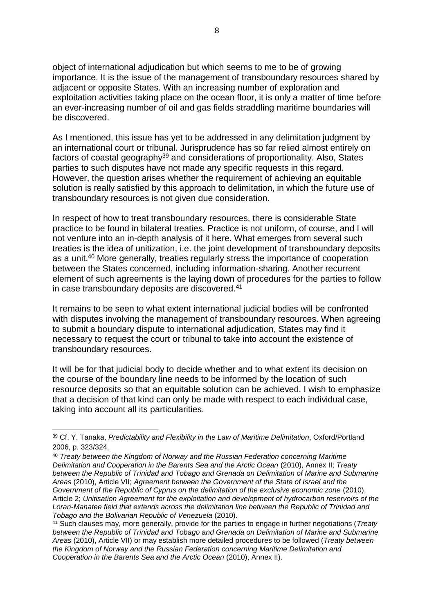object of international adjudication but which seems to me to be of growing importance. It is the issue of the management of transboundary resources shared by adjacent or opposite States. With an increasing number of exploration and exploitation activities taking place on the ocean floor, it is only a matter of time before an ever-increasing number of oil and gas fields straddling maritime boundaries will be discovered.

As I mentioned, this issue has yet to be addressed in any delimitation judgment by an international court or tribunal. Jurisprudence has so far relied almost entirely on factors of coastal geography<sup>39</sup> and considerations of proportionality. Also, States parties to such disputes have not made any specific requests in this regard. However, the question arises whether the requirement of achieving an equitable solution is really satisfied by this approach to delimitation, in which the future use of transboundary resources is not given due consideration.

In respect of how to treat transboundary resources, there is considerable State practice to be found in bilateral treaties. Practice is not uniform, of course, and I will not venture into an in-depth analysis of it here. What emerges from several such treaties is the idea of unitization, i.e. the joint development of transboundary deposits as a unit.<sup>40</sup> More generally, treaties regularly stress the importance of cooperation between the States concerned, including information-sharing. Another recurrent element of such agreements is the laying down of procedures for the parties to follow in case transboundary deposits are discovered.<sup>41</sup>

It remains to be seen to what extent international judicial bodies will be confronted with disputes involving the management of transboundary resources. When agreeing to submit a boundary dispute to international adjudication, States may find it necessary to request the court or tribunal to take into account the existence of transboundary resources.

It will be for that judicial body to decide whether and to what extent its decision on the course of the boundary line needs to be informed by the location of such resource deposits so that an equitable solution can be achieved. I wish to emphasize that a decision of that kind can only be made with respect to each individual case, taking into account all its particularities.

<sup>39</sup> Cf. Y. Tanaka, *Predictability and Flexibility in the Law of Maritime Delimitation*, Oxford/Portland 2006, p. 323/324.

<sup>40</sup> *Treaty between the Kingdom of Norway and the Russian Federation concerning Maritime Delimitation and Cooperation in the Barents Sea and the Arctic Ocean* (2010), Annex II; *Treaty between the Republic of Trinidad and Tobago and Grenada on Delimitation of Marine and Submarine Areas* (2010), Article VII; *Agreement between the Government of the State of Israel and the Government of the Republic of Cyprus on the delimitation of the exclusive economic zone* (2010), Article 2; *Unitisation Agreement for the exploitation and development of hydrocarbon reservoirs of the Loran-Manatee field that extends across the delimitation line between the Republic of Trinidad and Tobago and the Bolivarian Republic of Venezuela* (2010).

<sup>41</sup> Such clauses may, more generally, provide for the parties to engage in further negotiations (*Treaty between the Republic of Trinidad and Tobago and Grenada on Delimitation of Marine and Submarine Areas* (2010), Article VII) or may establish more detailed procedures to be followed (*Treaty between the Kingdom of Norway and the Russian Federation concerning Maritime Delimitation and Cooperation in the Barents Sea and the Arctic Ocean* (2010), Annex II).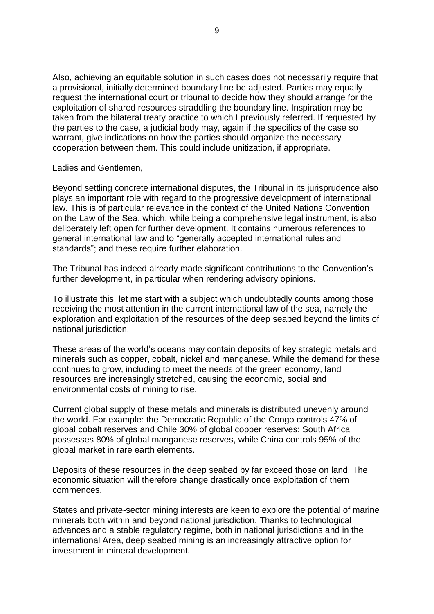Also, achieving an equitable solution in such cases does not necessarily require that a provisional, initially determined boundary line be adjusted. Parties may equally request the international court or tribunal to decide how they should arrange for the exploitation of shared resources straddling the boundary line. Inspiration may be taken from the bilateral treaty practice to which I previously referred. If requested by the parties to the case, a judicial body may, again if the specifics of the case so warrant, give indications on how the parties should organize the necessary cooperation between them. This could include unitization, if appropriate.

Ladies and Gentlemen,

Beyond settling concrete international disputes, the Tribunal in its jurisprudence also plays an important role with regard to the progressive development of international law. This is of particular relevance in the context of the United Nations Convention on the Law of the Sea, which, while being a comprehensive legal instrument, is also deliberately left open for further development. It contains numerous references to general international law and to "generally accepted international rules and standards"; and these require further elaboration.

The Tribunal has indeed already made significant contributions to the Convention's further development, in particular when rendering advisory opinions.

To illustrate this, let me start with a subject which undoubtedly counts among those receiving the most attention in the current international law of the sea, namely the exploration and exploitation of the resources of the deep seabed beyond the limits of national jurisdiction.

These areas of the world's oceans may contain deposits of key strategic metals and minerals such as copper, cobalt, nickel and manganese. While the demand for these continues to grow, including to meet the needs of the green economy, land resources are increasingly stretched, causing the economic, social and environmental costs of mining to rise.

Current global supply of these metals and minerals is distributed unevenly around the world. For example: the Democratic Republic of the Congo controls 47% of global cobalt reserves and Chile 30% of global copper reserves; South Africa possesses 80% of global manganese reserves, while China controls 95% of the global market in rare earth elements.

Deposits of these resources in the deep seabed by far exceed those on land. The economic situation will therefore change drastically once exploitation of them commences.

States and private-sector mining interests are keen to explore the potential of marine minerals both within and beyond national jurisdiction. Thanks to technological advances and a stable regulatory regime, both in national jurisdictions and in the international Area, deep seabed mining is an increasingly attractive option for investment in mineral development.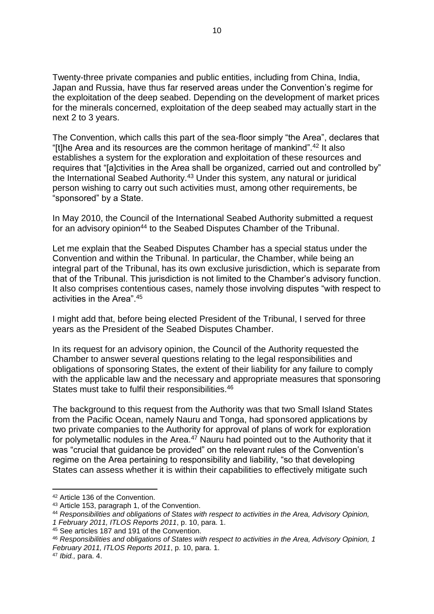Twenty-three private companies and public entities, including from China, India, Japan and Russia, have thus far reserved areas under the Convention's regime for the exploitation of the deep seabed. Depending on the development of market prices for the minerals concerned, exploitation of the deep seabed may actually start in the next 2 to 3 years.

The Convention, which calls this part of the sea-floor simply "the Area", declares that "[t]he Area and its resources are the common heritage of mankind".<sup>42</sup> It also establishes a system for the exploration and exploitation of these resources and requires that "[a]ctivities in the Area shall be organized, carried out and controlled by" the International Seabed Authority.<sup>43</sup> Under this system, any natural or juridical person wishing to carry out such activities must, among other requirements, be "sponsored" by a State.

In May 2010, the Council of the International Seabed Authority submitted a request for an advisory opinion<sup>44</sup> to the Seabed Disputes Chamber of the Tribunal.

Let me explain that the Seabed Disputes Chamber has a special status under the Convention and within the Tribunal. In particular, the Chamber, while being an integral part of the Tribunal, has its own exclusive jurisdiction, which is separate from that of the Tribunal. This jurisdiction is not limited to the Chamber's advisory function. It also comprises contentious cases, namely those involving disputes "with respect to activities in the Area". 45

I might add that, before being elected President of the Tribunal, I served for three years as the President of the Seabed Disputes Chamber.

In its request for an advisory opinion, the Council of the Authority requested the Chamber to answer several questions relating to the legal responsibilities and obligations of sponsoring States, the extent of their liability for any failure to comply with the applicable law and the necessary and appropriate measures that sponsoring States must take to fulfil their responsibilities.<sup>46</sup>

The background to this request from the Authority was that two Small Island States from the Pacific Ocean, namely Nauru and Tonga, had sponsored applications by two private companies to the Authority for approval of plans of work for exploration for polymetallic nodules in the Area. $47$  Nauru had pointed out to the Authority that it was "crucial that guidance be provided" on the relevant rules of the Convention's regime on the Area pertaining to responsibility and liability, "so that developing States can assess whether it is within their capabilities to effectively mitigate such

1

<sup>42</sup> Article 136 of the Convention.

<sup>43</sup> Article 153, paragraph 1, of the Convention.

<sup>44</sup> *Responsibilities and obligations of States with respect to activities in the Area, Advisory Opinion,* 

*<sup>1</sup> February 2011, ITLOS Reports 2011*, p. 10, para. 1.

<sup>45</sup> See articles 187 and 191 of the Convention.

<sup>46</sup> *Responsibilities and obligations of States with respect to activities in the Area, Advisory Opinion, 1 February 2011, ITLOS Reports 2011*, p. 10, para. 1.

<sup>47</sup> *Ibid.,* para. 4.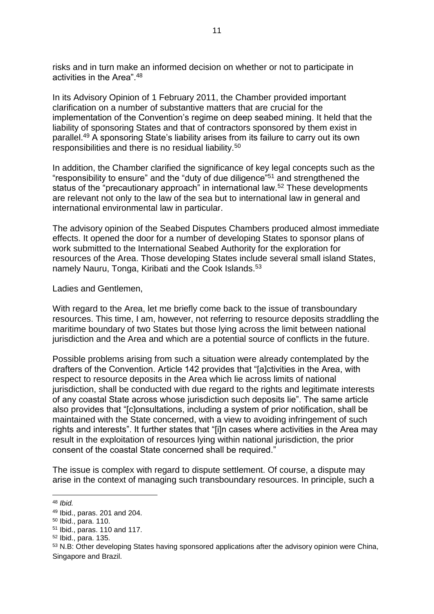risks and in turn make an informed decision on whether or not to participate in activities in the Area".<sup>48</sup>

In its Advisory Opinion of 1 February 2011, the Chamber provided important clarification on a number of substantive matters that are crucial for the implementation of the Convention's regime on deep seabed mining. It held that the liability of sponsoring States and that of contractors sponsored by them exist in parallel.<sup>49</sup> A sponsoring State's liability arises from its failure to carry out its own responsibilities and there is no residual liability.<sup>50</sup>

In addition, the Chamber clarified the significance of key legal concepts such as the "responsibility to ensure" and the "duty of due diligence"<sup>51</sup> and strengthened the status of the "precautionary approach" in international law.<sup>52</sup> These developments are relevant not only to the law of the sea but to international law in general and international environmental law in particular.

The advisory opinion of the Seabed Disputes Chambers produced almost immediate effects. It opened the door for a number of developing States to sponsor plans of work submitted to the International Seabed Authority for the exploration for resources of the Area. Those developing States include several small island States, namely Nauru, Tonga, Kiribati and the Cook Islands.<sup>53</sup>

Ladies and Gentlemen,

With regard to the Area, let me briefly come back to the issue of transboundary resources. This time, I am, however, not referring to resource deposits straddling the maritime boundary of two States but those lying across the limit between national jurisdiction and the Area and which are a potential source of conflicts in the future.

Possible problems arising from such a situation were already contemplated by the drafters of the Convention. Article 142 provides that "[a]ctivities in the Area, with respect to resource deposits in the Area which lie across limits of national jurisdiction, shall be conducted with due regard to the rights and legitimate interests of any coastal State across whose jurisdiction such deposits lie". The same article also provides that "[c]onsultations, including a system of prior notification, shall be maintained with the State concerned, with a view to avoiding infringement of such rights and interests". It further states that "[i]n cases where activities in the Area may result in the exploitation of resources lying within national jurisdiction, the prior consent of the coastal State concerned shall be required."

The issue is complex with regard to dispute settlement. Of course, a dispute may arise in the context of managing such transboundary resources. In principle, such a

<sup>48</sup> *Ibid.*

<sup>49</sup> Ibid., paras. 201 and 204.

<sup>50</sup> Ibid., para. 110.

<sup>51</sup> Ibid., paras. 110 and 117.

<sup>52</sup> Ibid., para. 135.

<sup>53</sup> N.B: Other developing States having sponsored applications after the advisory opinion were China, Singapore and Brazil.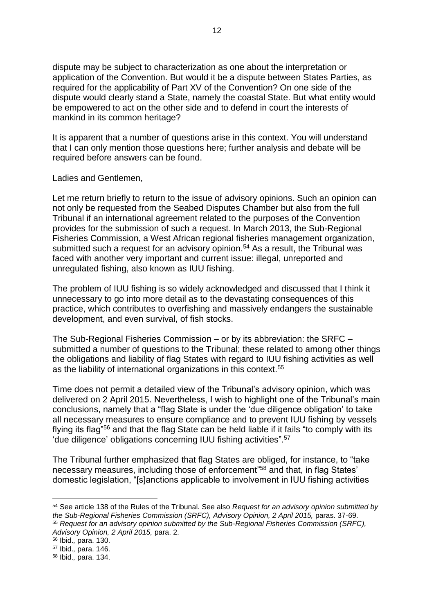dispute may be subject to characterization as one about the interpretation or application of the Convention. But would it be a dispute between States Parties, as required for the applicability of Part XV of the Convention? On one side of the dispute would clearly stand a State, namely the coastal State. But what entity would be empowered to act on the other side and to defend in court the interests of mankind in its common heritage?

It is apparent that a number of questions arise in this context. You will understand that I can only mention those questions here; further analysis and debate will be required before answers can be found.

Ladies and Gentlemen,

Let me return briefly to return to the issue of advisory opinions. Such an opinion can not only be requested from the Seabed Disputes Chamber but also from the full Tribunal if an international agreement related to the purposes of the Convention provides for the submission of such a request. In March 2013, the Sub-Regional Fisheries Commission, a West African regional fisheries management organization, submitted such a request for an advisory opinion.<sup>54</sup> As a result, the Tribunal was faced with another very important and current issue: illegal, unreported and unregulated fishing, also known as IUU fishing.

The problem of IUU fishing is so widely acknowledged and discussed that I think it unnecessary to go into more detail as to the devastating consequences of this practice, which contributes to overfishing and massively endangers the sustainable development, and even survival, of fish stocks.

The Sub-Regional Fisheries Commission – or by its abbreviation: the SRFC – submitted a number of questions to the Tribunal; these related to among other things the obligations and liability of flag States with regard to IUU fishing activities as well as the liability of international organizations in this context.<sup>55</sup>

Time does not permit a detailed view of the Tribunal's advisory opinion, which was delivered on 2 April 2015. Nevertheless, I wish to highlight one of the Tribunal's main conclusions, namely that a "flag State is under the 'due diligence obligation' to take all necessary measures to ensure compliance and to prevent IUU fishing by vessels flying its flag"<sup>56</sup> and that the flag State can be held liable if it fails "to comply with its 'due diligence' obligations concerning IUU fishing activities". 57

The Tribunal further emphasized that flag States are obliged, for instance, to "take necessary measures, including those of enforcement<sup>"58</sup> and that, in flag States' domestic legislation, "[s]anctions applicable to involvement in IUU fishing activities

<sup>54</sup> See article 138 of the Rules of the Tribunal. See also *Request for an advisory opinion submitted by the Sub-Regional Fisheries Commission (SRFC), Advisory Opinion, 2 April 2015,* paras. 37-69. <sup>55</sup> *Request for an advisory opinion submitted by the Sub-Regional Fisheries Commission (SRFC), Advisory Opinion, 2 April 2015,* para. 2.

<sup>56</sup> Ibid.*,* para. 130.

<sup>57</sup> Ibid.*,* para. 146.

<sup>58</sup> Ibid.*,* para. 134.